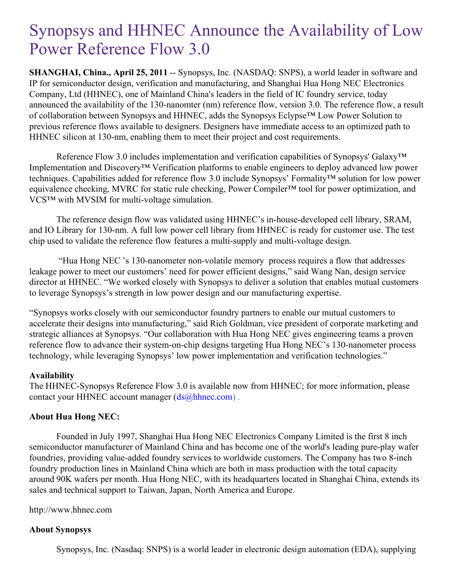## Synopsys and HHNEC Announce the Availability of Low Power Reference Flow 3.0

**SHANGHAI, China., April 25, 2011** -- Synopsys, Inc. (NASDAQ: SNPS), a world leader in software and IP for semiconductor design, verification and manufacturing, and Shanghai Hua Hong NEC Electronics Company, Ltd (HHNEC), one of Mainland China's leaders in the field of IC foundry service, today announced the availability of the 130-nanomter (nm) reference flow, version 3.0. The reference flow, a result of collaboration between Synopsys and HHNEC, adds the Synopsys Eclypse™ Low Power Solution to previous reference flows available to designers. Designers have immediate access to an optimized path to HHNEC silicon at 130-nm, enabling them to meet their project and cost requirements.

Reference Flow 3.0 includes implementation and verification capabilities of Synopsys' Galaxy<sup>™</sup> Implementation and Discovery™ Verification platforms to enable engineers to deploy advanced low power techniques. Capabilities added for reference flow 3.0 include Synopsys' Formality™ solution for low power equivalence checking, MVRC for static rule checking, Power Compiler™ tool for power optimization, and VCS™ with MVSIM for multi-voltage simulation.

The reference design flow was validated using HHNEC's in-house-developed cell library, SRAM, and IO Library for 130-nm. A full low power cell library from HHNEC is ready for customer use. The test chip used to validate the reference flow features a multi-supply and multi-voltage design.

"Hua Hong NEC 's 130-nanometer non-volatile memory process requires a flow that addresses leakage power to meet our customers' need for power efficient designs," said Wang Nan, design service director at HHNEC. "We worked closely with Synopsys to deliver a solution that enables mutual customers to leverage Synopsys's strength in low power design and our manufacturing expertise.

"Synopsys works closely with our semiconductor foundry partners to enable our mutual customers to accelerate their designs into manufacturing," said Rich Goldman, vice president of corporate marketing and strategic alliances at Synopsys. "Our collaboration with Hua Hong NEC gives engineering teams a proven reference flow to advance their system-on-chip designs targeting Hua Hong NEC's 130-nanometer process technology, while leveraging Synopsys' low power implementation and verification technologies."

## **Availability**

The HHNEC-Synopsys Reference Flow 3.0 is available now from HHNEC; for more information, please contact your HHNEC account manager  $(d_s@hhnec.com)$ .

## **About Hua Hong NEC:**

Founded in July 1997, Shanghai Hua Hong NEC Electronics Company Limited is the first 8 inch semiconductor manufacturer of Mainland China and has become one of the world's leading pure-play wafer foundries, providing value-added foundry services to worldwide customers. The Company has two 8-inch foundry production lines in Mainland China which are both in mass production with the total capacity around 90K wafers per month. Hua Hong NEC, with its headquarters located in Shanghai China, extends its sales and technical support to Taiwan, Japan, North America and Europe.

http://www.hhnec.com

## **About Synopsys**

Synopsys, Inc. (Nasdaq: SNPS) is a world leader in electronic design automation (EDA), supplying